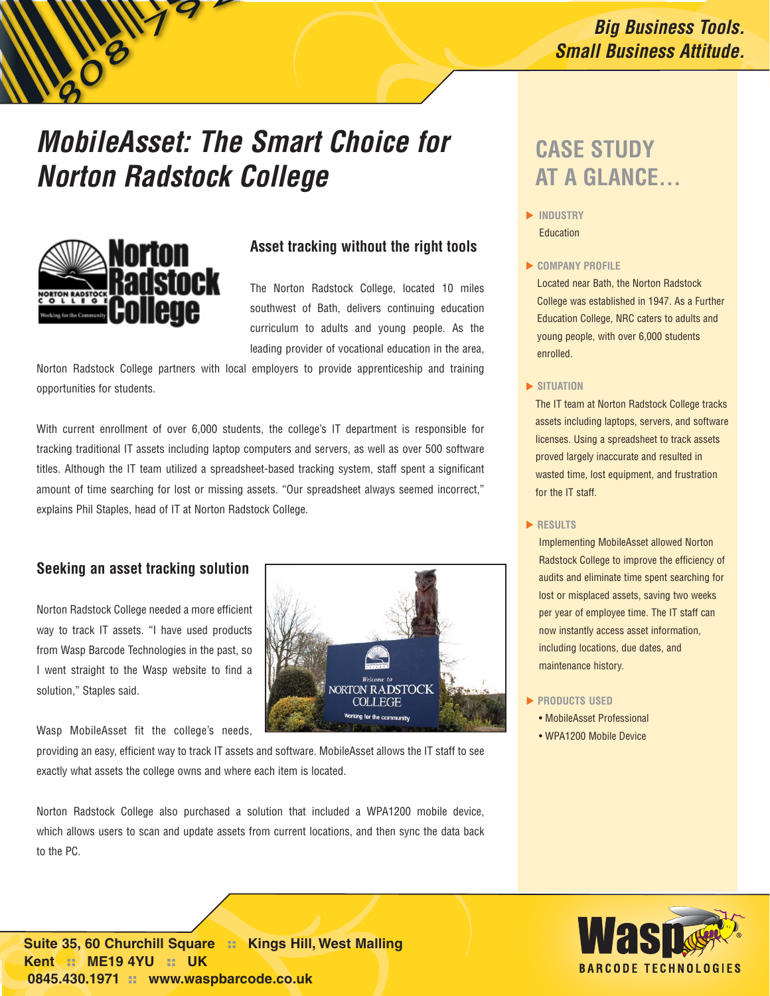## **Big Business Tools. Small Business Attitude.**

# **MobileAsset: The Smart Choice for Norton Radstock College**



### **Asset tracking without the right tools**

The Norton Radstock College, located 10 miles southwest of Bath, delivers continuing education curriculum to adults and young people. As the leading provider of vocational education in the area,

Norton Radstock College partners with local employers to provide apprenticeship and training opportunities for students.

With current enrollment of over 6,000 students, the college's IT department is responsible for tracking traditional IT assets including laptop computers and servers, as well as over 500 software titles. Although the IT team utilized a spreadsheet-based tracking system, staff spent a significant amount of time searching for lost or missing assets. "Our spreadsheet always seemed incorrect," explains Phil Staples, head of IT at Norton Radstock College.

### **Seeking an asset tracking solution**

Norton Radstock College needed a more efficient way to track IT assets. "I have used products from Wasp Barcode Technologies in the past, so I went straight to the Wasp website to find a solution," Staples said.

Wasp MobileAsset fit the college's needs,

providing an easy, efficient way to track IT assets and software. MobileAsset allows the IT staff to see exactly what assets the college owns and where each item is located.

Norton Radstock College also purchased a solution that included a WPA1200 mobile device, which allows users to scan and update assets from current locations, and then sync the data back to the PC.

# **DRTON RADSTOCK COLLEGE** king for the o

# **CASE STUDY AT A GLANCE...**

- **INDUSTRY** Education
- **COMPANY PROFILE**

Located near Bath, the Norton Radstock College was established in 1947. As a Further Education College, NRC caters to adults and young people, with over 6,000 students enrolled.

**SITUATION**

The IT team at Norton Radstock College tracks assets including laptops, servers, and software licenses. Using a spreadsheet to track assets proved largely inaccurate and resulted in wasted time, lost equipment, and frustration for the IT staff.

**RESULTS**

Implementing MobileAsset allowed Norton Radstock College to improve the efficiency of audits and eliminate time spent searching for lost or misplaced assets, saving two weeks per year of employee time. The IT staff can now instantly access asset information, including locations, due dates, and maintenance history.

- **PRODUCTS USED**
	- MobileAsset Professional
	- WPA1200 Mobile Device



**1400 10th Street :: Plano :: TX 75074 Suite 35, 60 Churchill Square :: Kings Hill, West Malling 866.547.WASP (9277) :: www.waspbarcode.com Kent :: ME19 4YU :: UK 0845.430.1971 :: www.waspbarcode.co.uk**